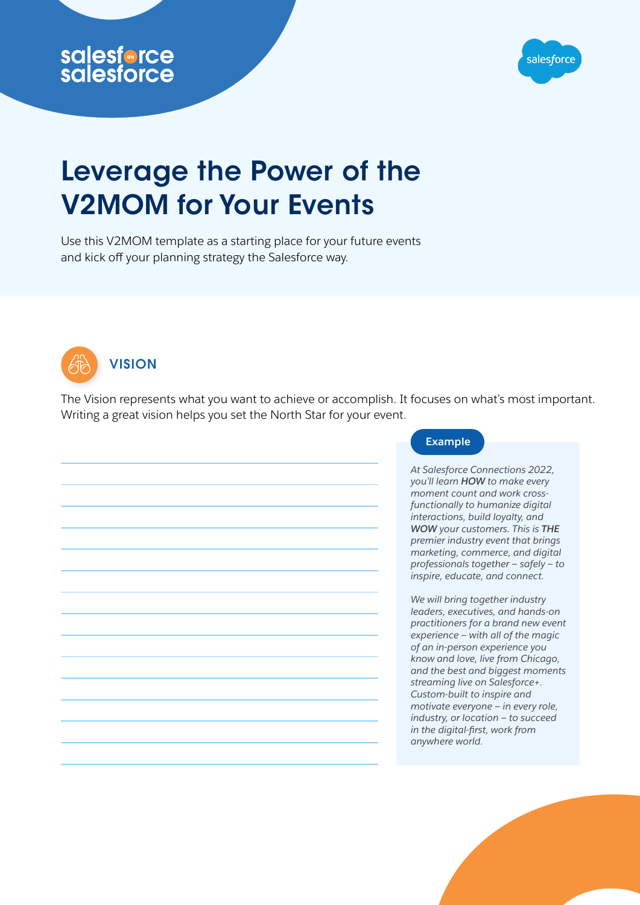



## Salesforce<br>
Salesforce<br>
Leverage the Power<br>
V2MOM for Your Eve<br>
Use this V2MOM template as a starting place for y<br>
and kick off your planning strategy the Salesforce Leverage the Power of the V2MOM for Your Events

Use this V2MOM template as a starting place for your future events and kick off your planning strategy the Salesforce way.



**VISION** 

The Vision represents what you want to achieve or accomplish. It focuses on what's most important. Writing a great vision helps you set the North Star for your event.

| At Salesforce Connections 2022,<br>you'll learn HOW to make every<br>moment count and work cross-<br>functionally to humanize digital<br>interactions, build loyalty, and<br>WOW your customers. This is THE<br>premier industry event that brings<br>marketing, commerce, and digital<br>professionals together - safely - to<br>inspire, educate, and connect.<br>We will bring together industry<br>leaders, executives, and hands-on<br>practitioners for a brand new event<br>experience – with all of the magic<br>of an in-person experience you<br>know and love, live from Chicago,<br>and the best and biggest moments<br>streaming live on Salesforce+.<br>Custom-built to inspire and<br>motivate everyone - in every role,<br>industry, or location - to succeed<br>in the digital-first, work from<br>anywhere world. |  |  |
|-------------------------------------------------------------------------------------------------------------------------------------------------------------------------------------------------------------------------------------------------------------------------------------------------------------------------------------------------------------------------------------------------------------------------------------------------------------------------------------------------------------------------------------------------------------------------------------------------------------------------------------------------------------------------------------------------------------------------------------------------------------------------------------------------------------------------------------|--|--|
|                                                                                                                                                                                                                                                                                                                                                                                                                                                                                                                                                                                                                                                                                                                                                                                                                                     |  |  |
|                                                                                                                                                                                                                                                                                                                                                                                                                                                                                                                                                                                                                                                                                                                                                                                                                                     |  |  |
|                                                                                                                                                                                                                                                                                                                                                                                                                                                                                                                                                                                                                                                                                                                                                                                                                                     |  |  |
|                                                                                                                                                                                                                                                                                                                                                                                                                                                                                                                                                                                                                                                                                                                                                                                                                                     |  |  |
|                                                                                                                                                                                                                                                                                                                                                                                                                                                                                                                                                                                                                                                                                                                                                                                                                                     |  |  |
|                                                                                                                                                                                                                                                                                                                                                                                                                                                                                                                                                                                                                                                                                                                                                                                                                                     |  |  |
|                                                                                                                                                                                                                                                                                                                                                                                                                                                                                                                                                                                                                                                                                                                                                                                                                                     |  |  |
|                                                                                                                                                                                                                                                                                                                                                                                                                                                                                                                                                                                                                                                                                                                                                                                                                                     |  |  |

## **Example**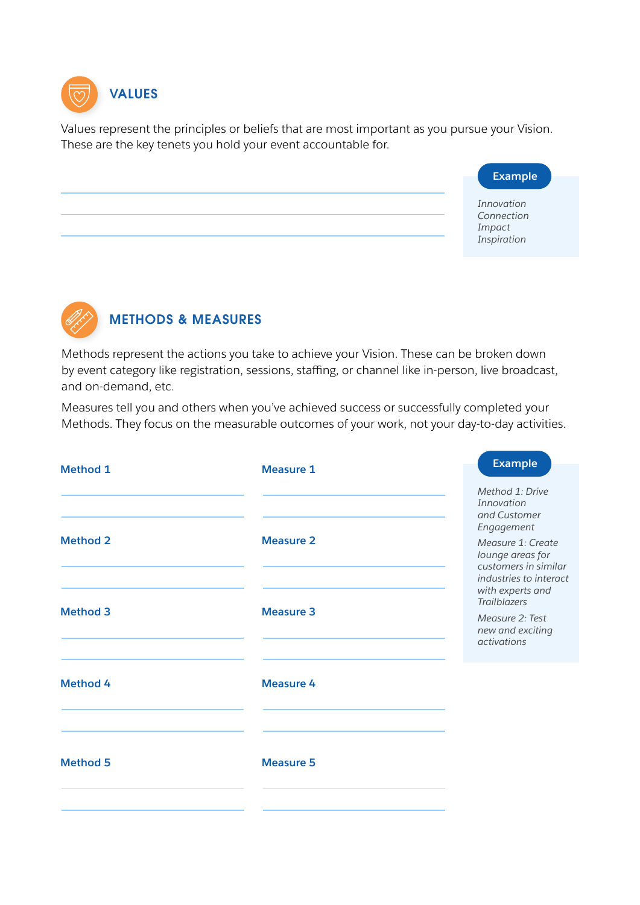

Values represent the principles or beliefs that are most important as you pursue your Vision. These are the key tenets you hold your event accountable for.

## **Example**

*Innovation Connection Impact Inspiration*



## METHODS & MEASURES

Methods represent the actions you take to achieve your Vision. These can be broken down by event category like registration, sessions, staffing, or channel like in-person, live broadcast, and on-demand, etc.

Measures tell you and others when you've achieved success or successfully completed your Methods. They focus on the measurable outcomes of your work, not your day-to-day activities.

| <b>Measure 1</b>                     | <b>Example</b>                                                                                                                                                                                                                                          |
|--------------------------------------|---------------------------------------------------------------------------------------------------------------------------------------------------------------------------------------------------------------------------------------------------------|
| <b>Measure 2</b><br><b>Measure 3</b> | Method 1: Drive<br>Innovation<br>and Customer<br>Engagement<br>Measure 1: Create<br>lounge areas for<br>customers in similar<br>industries to interact<br>with experts and<br><b>Trailblazers</b><br>Measure 2: Test<br>new and exciting<br>activations |
| <b>Measure 4</b>                     |                                                                                                                                                                                                                                                         |
| <b>Measure 5</b>                     |                                                                                                                                                                                                                                                         |
|                                      |                                                                                                                                                                                                                                                         |